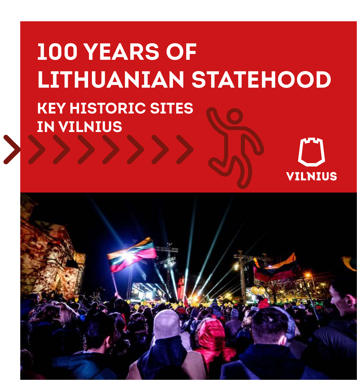# **100 YEARS OF LITHUANIAN STATEHOOD KEY HISTORIC SITES IN VILNIUS**



**VILNIUS**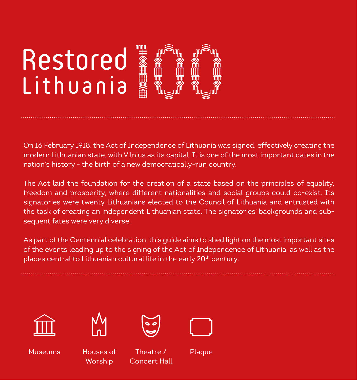# Restored Lithuania

On 16 February 1918, the Act of Independence of Lithuania was signed, effectively creating the modern Lithuanian state, with Vilnius as its capital. It is one of the most important dates in the nation's history - the birth of a new democratically-run country.

The Act laid the foundation for the creation of a state based on the principles of equality, freedom and prosperity, where different nationalities and social groups could co-exist. Its signatories were twenty Lithuanians elected to the Council of Lithuania and entrusted with the task of creating an independent Lithuanian state. The signatories' backgrounds and subsequent fates were very diverse.

As part of the Centennial celebration, this guide aims to shed light on the most important sites of the events leading up to the signing of the Act of Independence of Lithuania, as well as the places central to Lithuanian cultural life in the early 20<sup>th</sup> century.





Museums Houses of **Worship** 



Theatre / Concert Hall



Plaque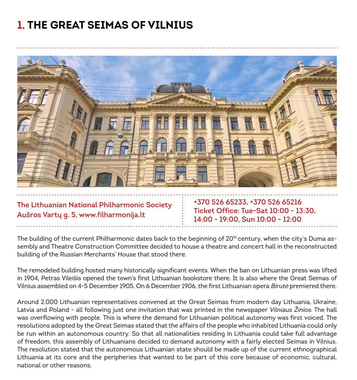# **1. THE GREAT SEIMAS OF VILNIUS**



**The Lithuanian National Philharmonic Society Aušros Vartų g. 5, www.filharmonija.lt** 

**+370 526 65233, +370 526 65216 Ticket Office: Tue-Sat 10:00 - 13:30, 14:00 - 19:00, Sun 10:00 - 12:00**

The building of the current Philharmonic dates back to the beginning of 20<sup>th</sup> century, when the city's Duma assembly and Theatre Construction Committee decided to house a theatre and concert hall in the reconstructed building of the Russian Merchants' House that stood there.

The remodeled building hosted many historically significant events. When the ban on Lithuanian press was lifted in 1904, Petras Vileišis opened the town's first Lithuanian bookstore there. It is also where the Great Seimas of Vilnius assembled on 4-5 December 1905. On 6 December 1906, the first Lithuanian opera Birutė premiered there.

Around 2,000 Lithuanian representatives convened at the Great Seimas from modern day Lithuania, Ukraine, Latvia and Poland - all following just one invitation that was printed in the newspaper Vilniaus Žinios. The hall was overflowing with people. This is where the demand for Lithuanian political autonomy was first voiced. The resolutions adopted by the Great Seimas stated that the affairs of the people who inhabited Lithuania could only be run within an autonomous country. So that all nationalities residing in Lithuania could take full advantage of freedom, this assembly of Lithuanians decided to demand autonomy with a fairly elected Seimas in Vilnius. The resolution stated that the autonomous Lithuanian state should be made up of the current ethnographical Lithuania at its core and the peripheries that wanted to be part of this core because of economic, cultural, national or other reasons.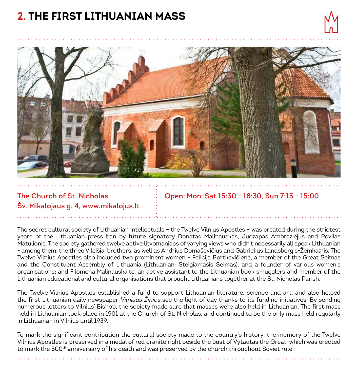# **2. THE FIRST LITHUANIAN MASS**



#### **The Church of St. Nicholas Šv. Mikalojaus g. 4, www.mikalojus.lt**

**Open: Mon-Sat 15:30 - 18:30, Sun 7:15 - 15:00**

The secret cultural society of Lithuanian intellectuals – the Twelve Vilnius Apostles – was created during the strictest years of the Lithuanian press ban by future signatory Donatas Malinauskas, Juozapas Ambraziejus and Povilas Matulionis. The society gathered twelve active litvomaniacs of varying views who didn't necessarily all speak Lithuanian - among them, the three Vileišiai brothers, as well as Andrius Domaševičius and Gabrielius Landsbergis-Žemkalnis. The Twelve Vilnius Apostles also included two prominent women - Felicija Bortkevičienė, a member of the Great Seimas and the Constituent Assembly of Lithuania (Lithuanian: Steigiamasis Seimas), and a founder of various women's organisations; and Filomena Malinauskaitė, an active assistant to the Lithuanian book smugglers and member of the Lithuanian educational and cultural organisations that brought Lithuanians together at the St. Nicholas Parish.

The Twelve Vilnius Apostles established a fund to support Lithuanian literature, science and art, and also helped the first Lithuanian daily newspaper *Vilniaus Žinios* see the light of day thanks to its funding initiatives. By sending numerous letters to Vilnius' Bishop, the society made sure that masses were also held in Lithuanian. The first mass held in Lithuanian took place in 1901 at the Church of St. Nicholas, and continued to be the only mass held regularly in Lithuanian in Vilnius until 1939.

To mark the significant contribution the cultural society made to the country's history, the memory of the Twelve Vilnius Apostles is preserved in a medal of red granite right beside the bust of Vytautas the Great, which was erected to mark the 500<sup>th</sup> anniversary of his death and was preserved by the church throughout Soviet rule.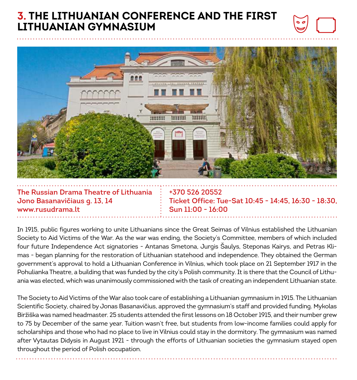#### **3. THE LITHUANIAN CONFERENCE AND THE FIRST LITHUANIAN GYMNASIUM**



**The Russian Drama Theatre of Lithuania Jono Basanavičiaus g. 13, 14 www.rusudrama.lt** 

**+370 526 20552 Ticket Office: Tue-Sat 10:45 - 14:45, 16:30 - 18:30, Sun 11:00 - 16:00**

In 1915, public figures working to unite Lithuanians since the Great Seimas of Vilnius established the Lithuanian Society to Aid Victims of the War. As the war was ending, the Society's Committee, members of which included four future Independence Act signatories - Antanas Smetona, Jurgis Šaulys, Steponas Kairys, and Petras Klimas - began planning for the restoration of Lithuanian statehood and independence. They obtained the German government's approval to hold a Lithuanian Conference in Vilnius, which took place on 21 September 1917 in the Pohulianka Theatre, a building that was funded by the city's Polish community. It is there that the Council of Lithuania was elected, which was unanimously commissioned with the task of creating an independent Lithuanian state.

The Society to Aid Victims of the War also took care of establishing a Lithuanian gymnasium in 1915. The Lithuanian Scientific Society, chaired by Jonas Basanavičius, approved the gymnasium's staff and provided funding. Mykolas Biržiška was named headmaster. 25 students attended the first lessons on 18 October 1915, and their number grew to 75 by December of the same year. Tuition wasn't free, but students from low-income families could apply for scholarships and those who had no place to live in Vilnius could stay in the dormitory. The gymnasium was named after Vytautas Didysis in August 1921 - through the efforts of Lithuanian societies the gymnasium stayed open throughout the period of Polish occupation.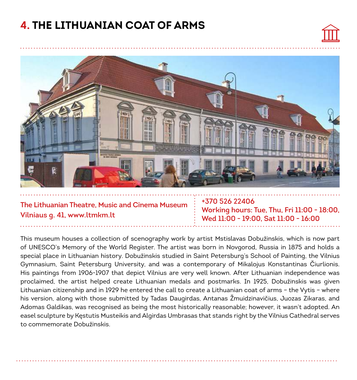## **4. THE LITHUANIAN COAT OF ARMS**





#### **The Lithuanian Theatre, Music and Cinema Museum Vilniaus g. 41, www.ltmkm.lt**

**+370 526 22406 Working hours: Tue, Thu, Fri 11:00 - 18:00, Wed 11:00 - 19:00, Sat 11:00 - 16:00**

This museum houses a collection of scenography work by artist Mstislavas Dobužinskis, which is now part of UNESCO's Memory of the World Register. The artist was born in Novgorod, Russia in 1875 and holds a special place in Lithuanian history. Dobužinskis studied in Saint Petersburg's School of Painting, the Vilnius Gymnasium, Saint Petersburg University, and was a contemporary of Mikalojus Konstantinas Čiurlionis. His paintings from 1906-1907 that depict Vilnius are very well known. After Lithuanian independence was proclaimed, the artist helped create Lithuanian medals and postmarks. In 1925, Dobužinskis was given Lithuanian citizenship and in 1929 he entered the call to create a Lithuanian coat of arms – the Vytis – where his version, along with those submitted by Tadas Daugirdas, Antanas Žmuidzinavičius, Juozas Zikaras, and Adomas Galdikas, was recognised as being the most historically reasonable; however, it wasn't adopted. An easel sculpture by Kęstutis Musteikis and Algirdas Umbrasas that stands right by the Vilnius Cathedral serves to commemorate Dobužinskis.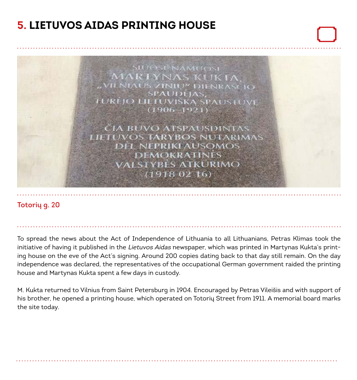# **5. LIETUVOS AIDAS PRINTING HOUSE**



#### **Totorių g. 20**

To spread the news about the Act of Independence of Lithuania to all Lithuanians, Petras Klimas took the initiative of having it published in the Lietuvos Aidas newspaper, which was printed in Martynas Kukta's printing house on the eve of the Act's signing. Around 200 copies dating back to that day still remain. On the day independence was declared, the representatives of the occupational German government raided the printing house and Martynas Kukta spent a few days in custody.

M. Kukta returned to Vilnius from Saint Petersburg in 1904. Encouraged by Petras Vileišis and with support of his brother, he opened a printing house, which operated on Totorių Street from 1911. A memorial board marks the site today.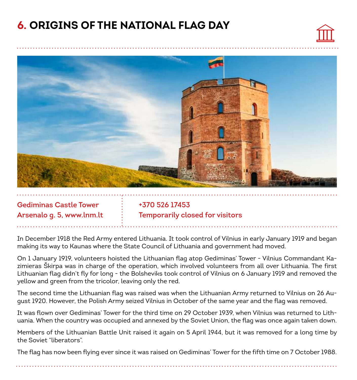#### **6. ORIGINS OF THE NATIONAL FLAG DAY**





**Gediminas Castle Tower Arsenalo g. 5, www.lnm.lt** 

**+370 526 17453 Temporarily closed for visitors**

In December 1918 the Red Army entered Lithuania. It took control of Vilnius in early January 1919 and began making its way to Kaunas where the State Council of Lithuania and government had moved.

On 1 January 1919, volunteers hoisted the Lithuanian flag atop Gediminas' Tower - Vilnius Commandant Kazimieras Škirpa was in charge of the operation, which involved volunteers from all over Lithuania. The first Lithuanian flag didn't fly for long - the Bolsheviks took control of Vilnius on 6 January 1919 and removed the yellow and green from the tricolor, leaving only the red.

The second time the Lithuanian flag was raised was when the Lithuanian Army returned to Vilnius on 26 August 1920. However, the Polish Army seized Vilnius in October of the same year and the flag was removed.

It was flown over Gediminas' Tower for the third time on 29 October 1939, when Vilnius was returned to Lithuania. When the country was occupied and annexed by the Soviet Union, the flag was once again taken down.

Members of the Lithuanian Battle Unit raised it again on 5 April 1944, but it was removed for a long time by the Soviet "liberators".

The flag has now been flying ever since it was raised on Gediminas' Tower for the fifth time on 7 October 1988.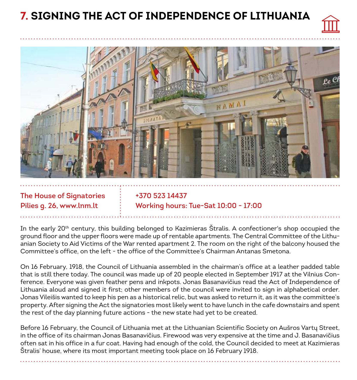# **7. SIGNING THE ACT OF INDEPENDENCE OF LITHUANIA**





**The House of Signatories Pilies g. 26, www.lnm.lt**

**+370 523 14437 Working hours: Tue-Sat 10:00 - 17:00**

In the early 20th century, this building belonged to Kazimieras Štralis. A confectioner's shop occupied the ground floor and the upper floors were made up of rentable apartments. The Central Committee of the Lithuanian Society to Aid Victims of the War rented apartment 2. The room on the right of the balcony housed the Committee's office, on the left - the office of the Committee's Chairman Antanas Smetona.

On 16 February, 1918, the Council of Lithuania assembled in the chairman's office at a leather padded table that is still there today. The council was made up of 20 people elected in September 1917 at the Vilnius Conference. Everyone was given feather pens and inkpots. Jonas Basanavičius read the Act of Independence of Lithuania aloud and signed it first; other members of the council were invited to sign in alphabetical order. Jonas Vileišis wanted to keep his pen as a historical relic, but was asked to return it, as it was the committee's property. After signing the Act the signatories most likely went to have lunch in the cafe downstairs and spent the rest of the day planning future actions - the new state had yet to be created.

Before 16 February, the Council of Lithuania met at the Lithuanian Scientific Society on Aušros Vartų Street, in the office of its chairman Jonas Basanavičius. Firewood was very expensive at the time and J. Basanavičius often sat in his office in a fur coat. Having had enough of the cold, the Council decided to meet at Kazimieras Štralis' house, where its most important meeting took place on 16 February 1918.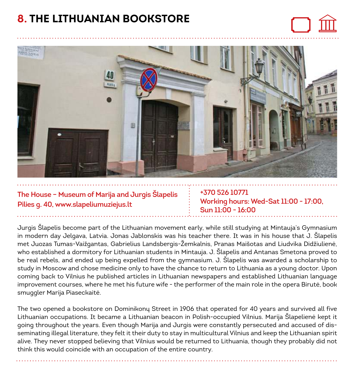#### **8. THE LITHUANIAN BOOKSTORE**





**The House – Museum of Marija and Jurgis Šlapelis Pilies g. 40, www.slapeliumuziejus.lt**

**+370 526 10771 Working hours: Wed-Sat 11:00 - 17:00, Sun 11:00 - 16:00**

Jurgis Šlapelis become part of the Lithuanian movement early, while still studying at Mintauja's Gymnasium in modern day Jelgava, Latvia. Jonas Jablonskis was his teacher there. It was in his house that J. Šlapelis met Juozas Tumas-Vaižgantas, Gabrielius Landsbergis-Žemkalnis, Pranas Maišotas and Liudvika Didžiulienė, who established a dormitory for Lithuanian students in Mintauja. J. Šlapelis and Antanas Smetona proved to be real rebels, and ended up being expelled from the gymnasium. J. Šlapelis was awarded a scholarship to study in Moscow and chose medicine only to have the chance to return to Lithuania as a young doctor. Upon coming back to Vilnius he published articles in Lithuanian newspapers and established Lithuanian language improvement courses, where he met his future wife - the performer of the main role in the opera Birutė, book smuggler Marija Piaseckaitė.

The two opened a bookstore on Dominikonų Street in 1906 that operated for 40 years and survived all five Lithuanian occupations. It became a Lithuanian beacon in Polish-occupied Vilnius. Marija Šlapelienė kept it going throughout the years. Even though Marija and Jurgis were constantly persecuted and accused of disseminating illegal literature, they felt it their duty to stay in multicultural Vilnius and keep the Lithuanian spirit alive. They never stopped believing that Vilnius would be returned to Lithuania, though they probably did not think this would coincide with an occupation of the entire country.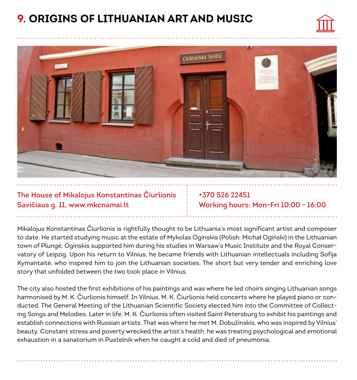# **9. ORIGINS OF LITHUANIAN ART AND MUSIC**





**The House of Mikalojus Konstantinas Čiurlionis Savičiaus g. 11, www.mkcnamai.lt** 

**+370 526 22451 Working hours: Mon-Fri 10:00 - 16:00**

Mikalojus Konstantinas Čiurlionis is rightfully thought to be Lithuania's most significant artist and composer to date. He started studying music at the estate of Mykolas Oginskis (Polish: Michał Ogiński) in the Lithuanian town of Plungė, Oginskis supported him during his studies in Warsaw's Music Institute and the Royal Conservatory of Leipzig. Upon his return to Vilnius, he became friends with Lithuanian intellectuals including Sofija Kymantaitė, who inspired him to join the Lithuanian societies. The short but very tender and enriching love story that unfolded between the two took place in Vilnius.

The city also hosted the first exhibitions of his paintings and was where he led choirs singing Lithuanian songs harmonised by M. K. Čiurlionis himself. In Vilnius, M. K. Čiurlionis held concerts where he played piano or conducted. The General Meeting of the Lithuanian Scientific Society elected him into the Committee of Collecting Songs and Melodies. Later in life, M. K. Čiurlionis often visited Saint Petersburg to exhibit his paintings and establish connections with Russian artists. That was where he met M. Dobužinskis, who was inspired by Vilnius' beauty. Constant stress and poverty wrecked the artist's health; he was treating psychological and emotional exhaustion in a sanatorium in Pustelnik when he caught a cold and died of pneumonia.